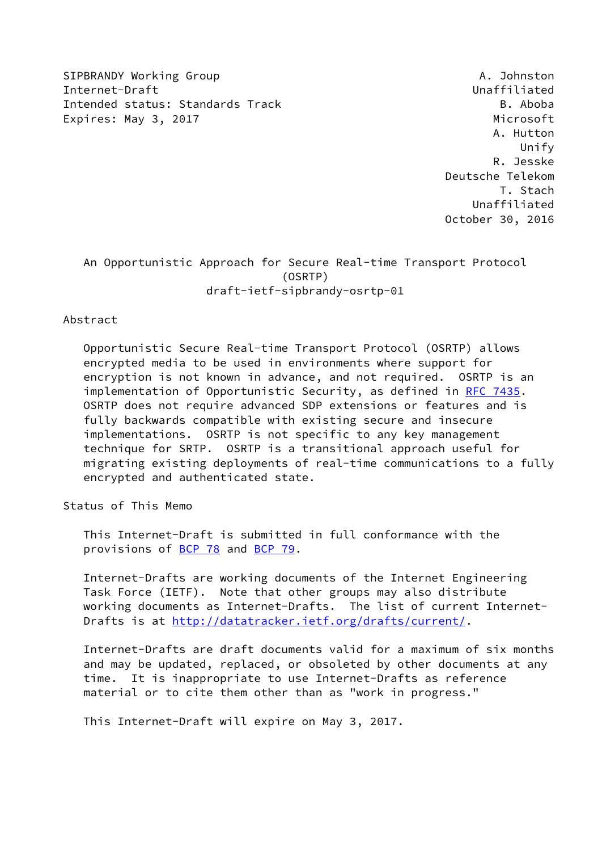SIPBRANDY Working Group And the Communication of the Communication of the Communication of the Communication of the Communication of the Communication of the Communication of the Communication of the Communication of the C Internet-Draft Unaffiliated Intended status: Standards Track B. Aboba Expires: May 3, 2017 **Microsoft** 

 A. Hutton Unify R. Jesske Deutsche Telekom T. Stach Unaffiliated October 30, 2016

## An Opportunistic Approach for Secure Real-time Transport Protocol (OSRTP) draft-ietf-sipbrandy-osrtp-01

Abstract

 Opportunistic Secure Real-time Transport Protocol (OSRTP) allows encrypted media to be used in environments where support for encryption is not known in advance, and not required. OSRTP is an implementation of Opportunistic Security, as defined in [RFC 7435](https://datatracker.ietf.org/doc/pdf/rfc7435). OSRTP does not require advanced SDP extensions or features and is fully backwards compatible with existing secure and insecure implementations. OSRTP is not specific to any key management technique for SRTP. OSRTP is a transitional approach useful for migrating existing deployments of real-time communications to a fully encrypted and authenticated state.

Status of This Memo

 This Internet-Draft is submitted in full conformance with the provisions of [BCP 78](https://datatracker.ietf.org/doc/pdf/bcp78) and [BCP 79](https://datatracker.ietf.org/doc/pdf/bcp79).

 Internet-Drafts are working documents of the Internet Engineering Task Force (IETF). Note that other groups may also distribute working documents as Internet-Drafts. The list of current Internet- Drafts is at<http://datatracker.ietf.org/drafts/current/>.

 Internet-Drafts are draft documents valid for a maximum of six months and may be updated, replaced, or obsoleted by other documents at any time. It is inappropriate to use Internet-Drafts as reference material or to cite them other than as "work in progress."

This Internet-Draft will expire on May 3, 2017.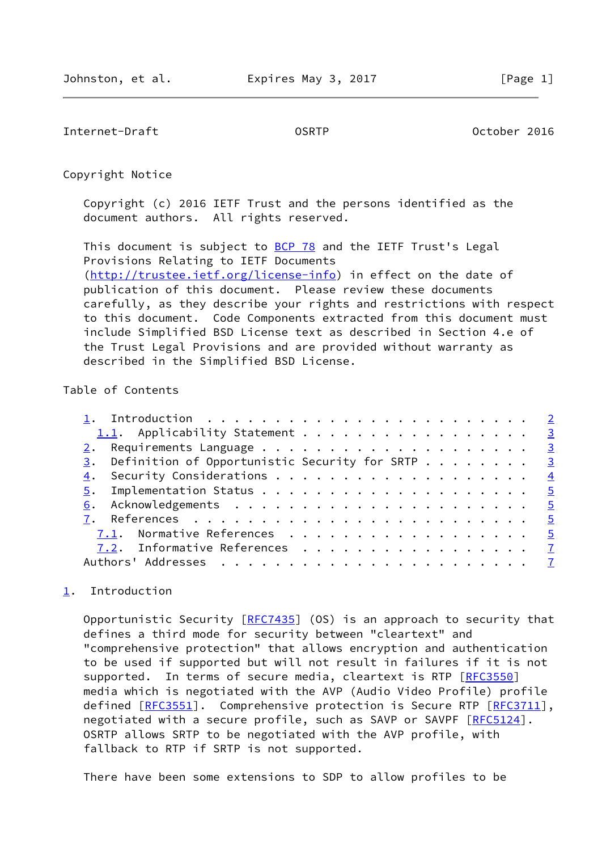<span id="page-1-1"></span>Internet-Draft OSRTP October 2016

Copyright Notice

 Copyright (c) 2016 IETF Trust and the persons identified as the document authors. All rights reserved.

This document is subject to **[BCP 78](https://datatracker.ietf.org/doc/pdf/bcp78)** and the IETF Trust's Legal Provisions Relating to IETF Documents [\(http://trustee.ietf.org/license-info](http://trustee.ietf.org/license-info)) in effect on the date of publication of this document. Please review these documents carefully, as they describe your rights and restrictions with respect to this document. Code Components extracted from this document must include Simplified BSD License text as described in Section 4.e of the Trust Legal Provisions and are provided without warranty as described in the Simplified BSD License.

## Table of Contents

| 1.1. Applicability Statement 3                                  |  |
|-----------------------------------------------------------------|--|
|                                                                 |  |
| $\frac{3}{2}$ . Definition of Opportunistic Security for SRTP 3 |  |
|                                                                 |  |
|                                                                 |  |
|                                                                 |  |
|                                                                 |  |
| 7.1. Normative References 5                                     |  |
| 7.2. Informative References 7                                   |  |
|                                                                 |  |
|                                                                 |  |

## <span id="page-1-0"></span>[1](#page-1-0). Introduction

Opportunistic Security  $[RFC7435]$  $[RFC7435]$  (OS) is an approach to security that defines a third mode for security between "cleartext" and "comprehensive protection" that allows encryption and authentication to be used if supported but will not result in failures if it is not supported. In terms of secure media, cleartext is RTP [\[RFC3550](https://datatracker.ietf.org/doc/pdf/rfc3550)] media which is negotiated with the AVP (Audio Video Profile) profile defined  $[REC3551]$ . Comprehensive protection is Secure RTP  $[REC3711]$ , negotiated with a secure profile, such as SAVP or SAVPF [\[RFC5124](https://datatracker.ietf.org/doc/pdf/rfc5124)]. OSRTP allows SRTP to be negotiated with the AVP profile, with fallback to RTP if SRTP is not supported.

There have been some extensions to SDP to allow profiles to be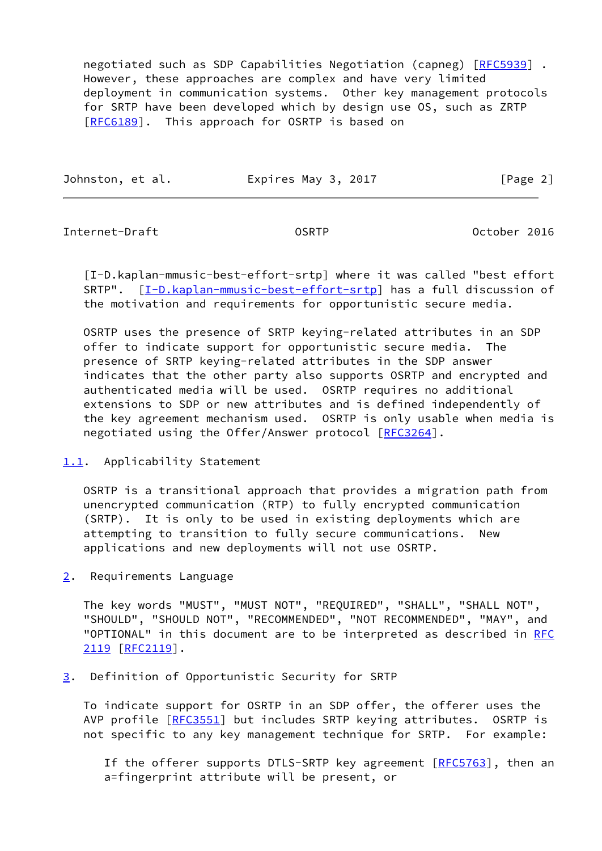negotiated such as SDP Capabilities Negotiation (capneg) [\[RFC5939](https://datatracker.ietf.org/doc/pdf/rfc5939)] . However, these approaches are complex and have very limited deployment in communication systems. Other key management protocols for SRTP have been developed which by design use OS, such as ZRTP [\[RFC6189](https://datatracker.ietf.org/doc/pdf/rfc6189)]. This approach for OSRTP is based on

| Johnston, et al. | Expires May 3, 2017 | [Page 2] |
|------------------|---------------------|----------|
|                  |                     |          |

<span id="page-2-1"></span>Internet-Draft OSRTP October 2016

<span id="page-2-4"></span> [I-D.kaplan-mmusic-best-effort-srtp] where it was called "best effort SRTP". [\[I-D.kaplan-mmusic-best-effort-srtp\]](#page-2-4) has a full discussion of the motivation and requirements for opportunistic secure media.

 OSRTP uses the presence of SRTP keying-related attributes in an SDP offer to indicate support for opportunistic secure media. The presence of SRTP keying-related attributes in the SDP answer indicates that the other party also supports OSRTP and encrypted and authenticated media will be used. OSRTP requires no additional extensions to SDP or new attributes and is defined independently of the key agreement mechanism used. OSRTP is only usable when media is negotiated using the Offer/Answer protocol [[RFC3264\]](https://datatracker.ietf.org/doc/pdf/rfc3264).

<span id="page-2-0"></span>[1.1](#page-2-0). Applicability Statement

 OSRTP is a transitional approach that provides a migration path from unencrypted communication (RTP) to fully encrypted communication (SRTP). It is only to be used in existing deployments which are attempting to transition to fully secure communications. New applications and new deployments will not use OSRTP.

<span id="page-2-2"></span>[2](#page-2-2). Requirements Language

 The key words "MUST", "MUST NOT", "REQUIRED", "SHALL", "SHALL NOT", "SHOULD", "SHOULD NOT", "RECOMMENDED", "NOT RECOMMENDED", "MAY", and "OPTIONAL" in this document are to be interpreted as described in [RFC](https://datatracker.ietf.org/doc/pdf/rfc2119) [2119](https://datatracker.ietf.org/doc/pdf/rfc2119) [\[RFC2119](https://datatracker.ietf.org/doc/pdf/rfc2119)].

<span id="page-2-3"></span>[3](#page-2-3). Definition of Opportunistic Security for SRTP

 To indicate support for OSRTP in an SDP offer, the offerer uses the AVP profile [\[RFC3551](https://datatracker.ietf.org/doc/pdf/rfc3551)] but includes SRTP keying attributes. OSRTP is not specific to any key management technique for SRTP. For example:

If the offerer supports DTLS-SRTP key agreement [[RFC5763\]](https://datatracker.ietf.org/doc/pdf/rfc5763), then an a=fingerprint attribute will be present, or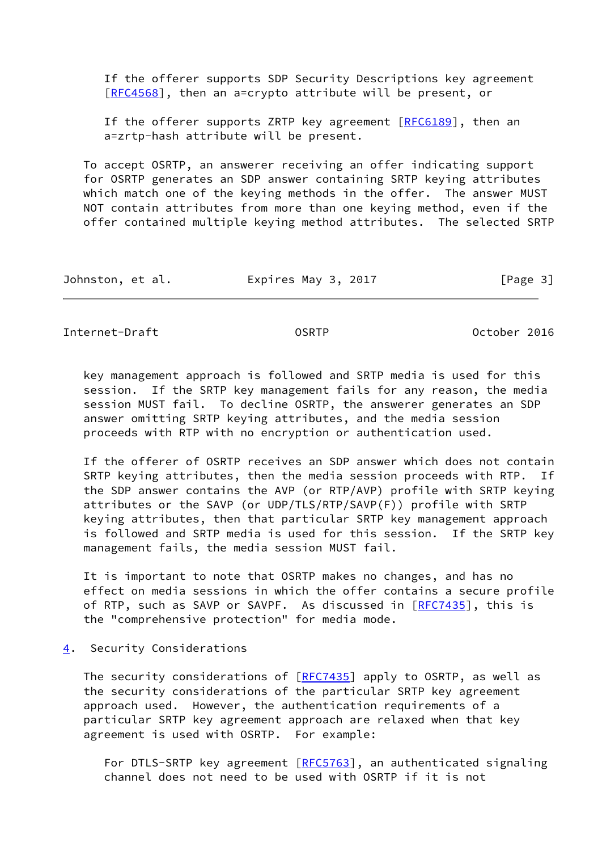If the offerer supports SDP Security Descriptions key agreement [[RFC4568\]](https://datatracker.ietf.org/doc/pdf/rfc4568), then an a=crypto attribute will be present, or

If the offerer supports ZRTP key agreement  $[REG189]$ , then an a=zrtp-hash attribute will be present.

 To accept OSRTP, an answerer receiving an offer indicating support for OSRTP generates an SDP answer containing SRTP keying attributes which match one of the keying methods in the offer. The answer MUST NOT contain attributes from more than one keying method, even if the offer contained multiple keying method attributes. The selected SRTP

| Johnston, et al. | Expires May 3, 2017 | [Page 3] |
|------------------|---------------------|----------|
|------------------|---------------------|----------|

<span id="page-3-1"></span>Internet-Draft OSRTP October 2016

 key management approach is followed and SRTP media is used for this session. If the SRTP key management fails for any reason, the media session MUST fail. To decline OSRTP, the answerer generates an SDP answer omitting SRTP keying attributes, and the media session proceeds with RTP with no encryption or authentication used.

 If the offerer of OSRTP receives an SDP answer which does not contain SRTP keying attributes, then the media session proceeds with RTP. If the SDP answer contains the AVP (or RTP/AVP) profile with SRTP keying attributes or the SAVP (or UDP/TLS/RTP/SAVP(F)) profile with SRTP keying attributes, then that particular SRTP key management approach is followed and SRTP media is used for this session. If the SRTP key management fails, the media session MUST fail.

 It is important to note that OSRTP makes no changes, and has no effect on media sessions in which the offer contains a secure profile of RTP, such as SAVP or SAVPF. As discussed in [\[RFC7435](https://datatracker.ietf.org/doc/pdf/rfc7435)], this is the "comprehensive protection" for media mode.

<span id="page-3-0"></span>[4](#page-3-0). Security Considerations

The security considerations of [\[RFC7435](https://datatracker.ietf.org/doc/pdf/rfc7435)] apply to OSRTP, as well as the security considerations of the particular SRTP key agreement approach used. However, the authentication requirements of a particular SRTP key agreement approach are relaxed when that key agreement is used with OSRTP. For example:

For DTLS-SRTP key agreement [\[RFC5763](https://datatracker.ietf.org/doc/pdf/rfc5763)], an authenticated signaling channel does not need to be used with OSRTP if it is not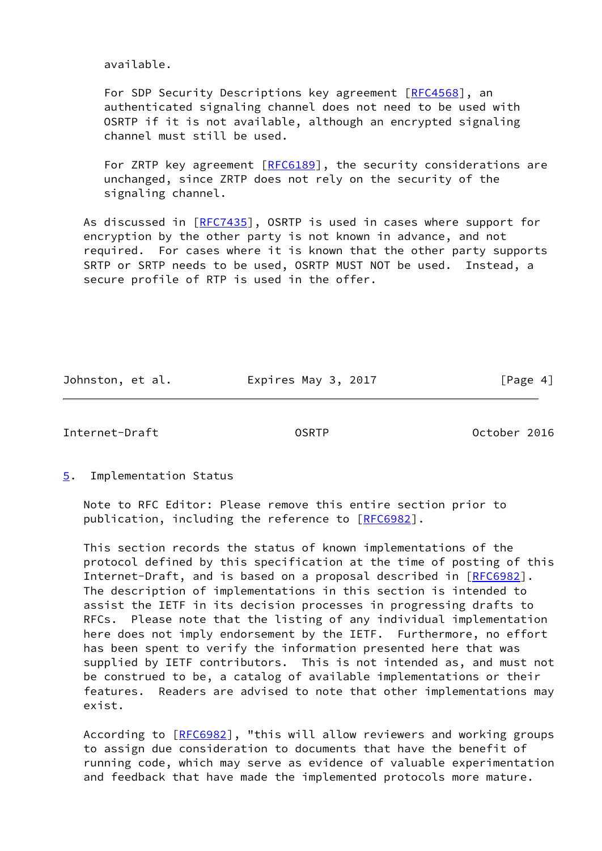available.

 For SDP Security Descriptions key agreement [\[RFC4568](https://datatracker.ietf.org/doc/pdf/rfc4568)], an authenticated signaling channel does not need to be used with OSRTP if it is not available, although an encrypted signaling channel must still be used.

For ZRTP key agreement [[RFC6189](https://datatracker.ietf.org/doc/pdf/rfc6189)], the security considerations are unchanged, since ZRTP does not rely on the security of the signaling channel.

As discussed in [\[RFC7435](https://datatracker.ietf.org/doc/pdf/rfc7435)], OSRTP is used in cases where support for encryption by the other party is not known in advance, and not required. For cases where it is known that the other party supports SRTP or SRTP needs to be used, OSRTP MUST NOT be used. Instead, a secure profile of RTP is used in the offer.

Johnston, et al. **Expires May 3, 2017** [Page 4]

<span id="page-4-1"></span>Internet-Draft OSRTP October 2016

<span id="page-4-0"></span>[5](#page-4-0). Implementation Status

 Note to RFC Editor: Please remove this entire section prior to publication, including the reference to [\[RFC6982](https://datatracker.ietf.org/doc/pdf/rfc6982)].

 This section records the status of known implementations of the protocol defined by this specification at the time of posting of this Internet-Draft, and is based on a proposal described in [\[RFC6982](https://datatracker.ietf.org/doc/pdf/rfc6982)]. The description of implementations in this section is intended to assist the IETF in its decision processes in progressing drafts to RFCs. Please note that the listing of any individual implementation here does not imply endorsement by the IETF. Furthermore, no effort has been spent to verify the information presented here that was supplied by IETF contributors. This is not intended as, and must not be construed to be, a catalog of available implementations or their features. Readers are advised to note that other implementations may exist.

According to [\[RFC6982](https://datatracker.ietf.org/doc/pdf/rfc6982)], "this will allow reviewers and working groups to assign due consideration to documents that have the benefit of running code, which may serve as evidence of valuable experimentation and feedback that have made the implemented protocols more mature.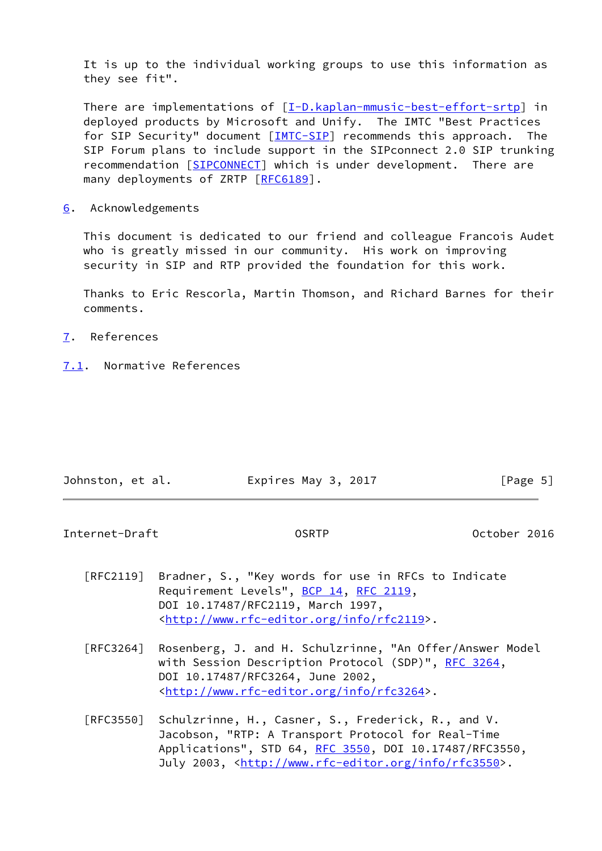It is up to the individual working groups to use this information as they see fit".

There are implementations of [\[I-D.kaplan-mmusic-best-effort-srtp\]](#page-2-4) in deployed products by Microsoft and Unify. The IMTC "Best Practices for SIP Security" document [[IMTC-SIP\]](#page-7-0) recommends this approach. The SIP Forum plans to include support in the SIPconnect 2.0 SIP trunking recommendation [\[SIPCONNECT](#page-7-1)] which is under development. There are many deployments of ZRTP [\[RFC6189](https://datatracker.ietf.org/doc/pdf/rfc6189)].

<span id="page-5-0"></span>[6](#page-5-0). Acknowledgements

 This document is dedicated to our friend and colleague Francois Audet who is greatly missed in our community. His work on improving security in SIP and RTP provided the foundation for this work.

 Thanks to Eric Rescorla, Martin Thomson, and Richard Barnes for their comments.

- <span id="page-5-1"></span>[7](#page-5-1). References
- <span id="page-5-2"></span>[7.1](#page-5-2). Normative References

| Johnston, et al. | Expires May 3, 2017 | [Page 5] |
|------------------|---------------------|----------|
|                  |                     |          |

Internet-Draft OSRTP October 2016

- [RFC2119] Bradner, S., "Key words for use in RFCs to Indicate Requirement Levels", [BCP 14](https://datatracker.ietf.org/doc/pdf/bcp14), [RFC 2119](https://datatracker.ietf.org/doc/pdf/rfc2119), DOI 10.17487/RFC2119, March 1997, <<http://www.rfc-editor.org/info/rfc2119>>.
- [RFC3264] Rosenberg, J. and H. Schulzrinne, "An Offer/Answer Model with Session Description Protocol (SDP)", [RFC 3264](https://datatracker.ietf.org/doc/pdf/rfc3264), DOI 10.17487/RFC3264, June 2002, <<http://www.rfc-editor.org/info/rfc3264>>.
- [RFC3550] Schulzrinne, H., Casner, S., Frederick, R., and V. Jacobson, "RTP: A Transport Protocol for Real-Time Applications", STD 64, [RFC 3550](https://datatracker.ietf.org/doc/pdf/rfc3550), DOI 10.17487/RFC3550, July 2003, <<http://www.rfc-editor.org/info/rfc3550>>.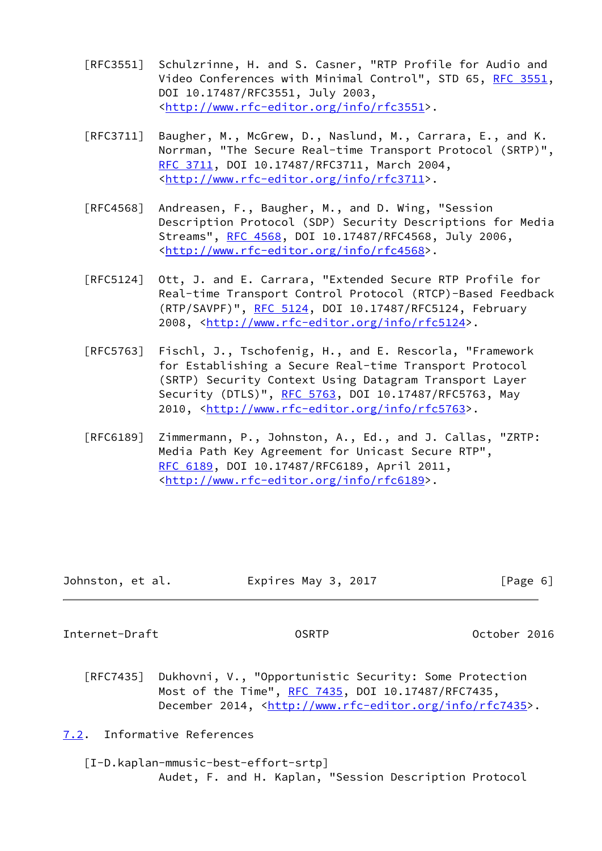- [RFC3551] Schulzrinne, H. and S. Casner, "RTP Profile for Audio and Video Conferences with Minimal Control", STD 65, [RFC 3551,](https://datatracker.ietf.org/doc/pdf/rfc3551) DOI 10.17487/RFC3551, July 2003, <<http://www.rfc-editor.org/info/rfc3551>>.
- [RFC3711] Baugher, M., McGrew, D., Naslund, M., Carrara, E., and K. Norrman, "The Secure Real-time Transport Protocol (SRTP)", [RFC 3711,](https://datatracker.ietf.org/doc/pdf/rfc3711) DOI 10.17487/RFC3711, March 2004, <<http://www.rfc-editor.org/info/rfc3711>>.
- [RFC4568] Andreasen, F., Baugher, M., and D. Wing, "Session Description Protocol (SDP) Security Descriptions for Media Streams", [RFC 4568](https://datatracker.ietf.org/doc/pdf/rfc4568), DOI 10.17487/RFC4568, July 2006, <<http://www.rfc-editor.org/info/rfc4568>>.
- [RFC5124] Ott, J. and E. Carrara, "Extended Secure RTP Profile for Real-time Transport Control Protocol (RTCP)-Based Feedback (RTP/SAVPF)", [RFC 5124](https://datatracker.ietf.org/doc/pdf/rfc5124), DOI 10.17487/RFC5124, February 2008, [<http://www.rfc-editor.org/info/rfc5124](http://www.rfc-editor.org/info/rfc5124)>.
- [RFC5763] Fischl, J., Tschofenig, H., and E. Rescorla, "Framework for Establishing a Secure Real-time Transport Protocol (SRTP) Security Context Using Datagram Transport Layer Security (DTLS)", [RFC 5763](https://datatracker.ietf.org/doc/pdf/rfc5763), DOI 10.17487/RFC5763, May 2010, [<http://www.rfc-editor.org/info/rfc5763](http://www.rfc-editor.org/info/rfc5763)>.
- [RFC6189] Zimmermann, P., Johnston, A., Ed., and J. Callas, "ZRTP: Media Path Key Agreement for Unicast Secure RTP", [RFC 6189,](https://datatracker.ietf.org/doc/pdf/rfc6189) DOI 10.17487/RFC6189, April 2011, <<http://www.rfc-editor.org/info/rfc6189>>.

| Johnston, et al. | Expires May 3, 2017 | [Page 6] |  |
|------------------|---------------------|----------|--|
|                  |                     |          |  |

<span id="page-6-1"></span>Internet-Draft OSRTP October 2016

 [RFC7435] Dukhovni, V., "Opportunistic Security: Some Protection Most of the Time", [RFC 7435](https://datatracker.ietf.org/doc/pdf/rfc7435), DOI 10.17487/RFC7435, December 2014, <<http://www.rfc-editor.org/info/rfc7435>>.

<span id="page-6-0"></span>[7.2](#page-6-0). Informative References

 [I-D.kaplan-mmusic-best-effort-srtp] Audet, F. and H. Kaplan, "Session Description Protocol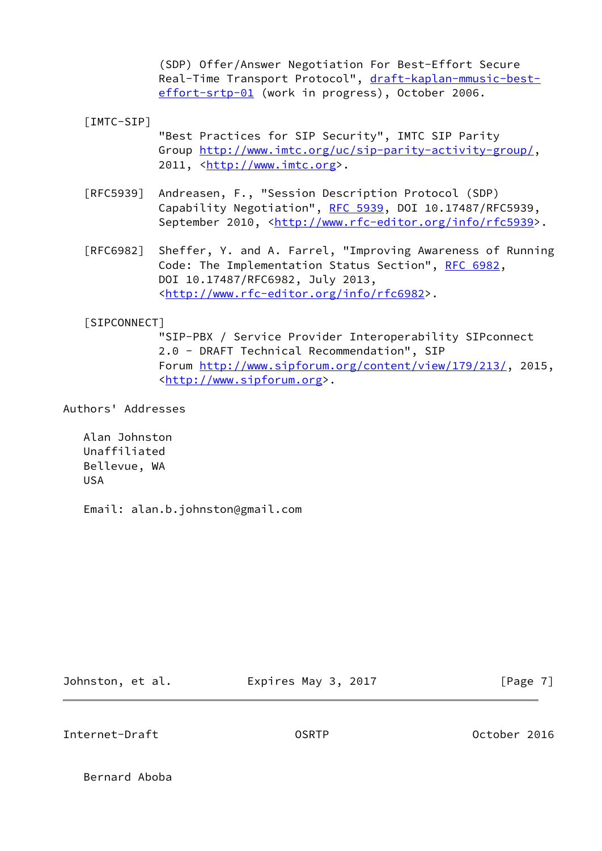(SDP) Offer/Answer Negotiation For Best-Effort Secure Real-Time Transport Protocol", [draft-kaplan-mmusic-best](https://datatracker.ietf.org/doc/pdf/draft-kaplan-mmusic-best-effort-srtp-01) [effort-srtp-01](https://datatracker.ietf.org/doc/pdf/draft-kaplan-mmusic-best-effort-srtp-01) (work in progress), October 2006.

<span id="page-7-0"></span>[IMTC-SIP]

 "Best Practices for SIP Security", IMTC SIP Parity Group<http://www.imtc.org/uc/sip-parity-activity-group/>, 2011, [<http://www.imtc.org](http://www.imtc.org)>.

- [RFC5939] Andreasen, F., "Session Description Protocol (SDP) Capability Negotiation", [RFC 5939,](https://datatracker.ietf.org/doc/pdf/rfc5939) DOI 10.17487/RFC5939, September 2010, <<http://www.rfc-editor.org/info/rfc5939>>.
- [RFC6982] Sheffer, Y. and A. Farrel, "Improving Awareness of Running Code: The Implementation Status Section", [RFC 6982](https://datatracker.ietf.org/doc/pdf/rfc6982), DOI 10.17487/RFC6982, July 2013, <<http://www.rfc-editor.org/info/rfc6982>>.

## <span id="page-7-1"></span>[SIPCONNECT]

 "SIP-PBX / Service Provider Interoperability SIPconnect 2.0 - DRAFT Technical Recommendation", SIP Forum<http://www.sipforum.org/content/view/179/213/>, 2015, <[http://www.sipforum.org>](http://www.sipforum.org).

Authors' Addresses

 Alan Johnston Unaffiliated Bellevue, WA USA

Email: alan.b.johnston@gmail.com

Johnston, et al. Expires May 3, 2017 [Page 7]

Internet-Draft OSRTP October 2016

Bernard Aboba